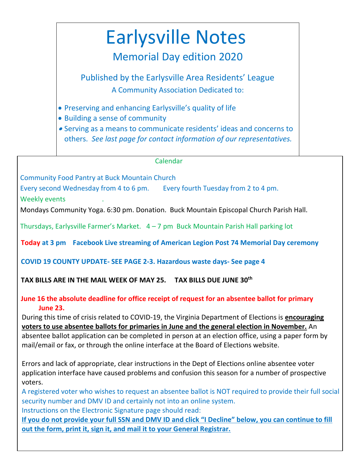# Earlysville Notes

### Memorial Day edition 2020

Published by the Earlysville Area Residents' League A Community Association Dedicated to:

- Preserving and enhancing Earlysville's quality of life
- Building a sense of community
- Serving as a means to communicate residents' ideas and concerns to others. *See last page for contact information of our representatives.*

#### Calendar

Community Food Pantry at Buck Mountain Church

Every second Wednesday from 4 to 6 pm. Every fourth Tuesday from 2 to 4 pm.

Weekly events

Mondays Community Yoga. 6:30 pm. Donation. Buck Mountain Episcopal Church Parish Hall.

Thursdays, Earlysville Farmer's Market.  $4 - 7$  pm Buck Mountain Parish Hall parking lot

**Today at 3 pm Facebook Live streaming of American Legion Post 74 Memorial Day ceremony**

 **COVID 19 COUNTY UPDATE- SEE PAGE 2-3. Hazardous waste days- See page 4**

#### **TAX BILLS ARE IN THE MAIL WEEK OF MAY 25. TAX BILLS DUE JUNE 30th**

#### **June 16 the absolute deadline for office receipt of request for an absentee ballot for primary June 23.**

During this time of crisis related to COVID-19, the Virginia Department of Elections is **encouraging voters to use absentee ballots for primaries in June and the general election in November.** An absentee ballot application can be completed in person at an election office, using a paper form by mail/email or fax, or through the online interface at the Board of Elections website.

Errors and lack of appropriate, clear instructions in the Dept of Elections online absentee voter application interface have caused problems and confusion this season for a number of prospective voters.

A registered voter who wishes to request an absentee ballot is NOT required to provide their full social security number and DMV ID and certainly not into an online system.

Instructions on the Electronic Signature page should read:

**If you do not provide your full SSN and DMV ID and click "I Decline" below, you can continue to fill out the form, print it, sign it, and mail it to your General Registrar.**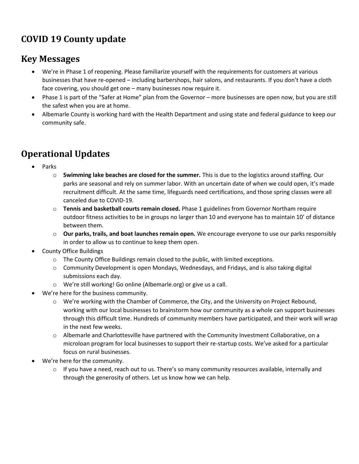### **COVID 19 County update**

### **Key Messages**

- We're in Phase 1 of reopening. Please familiarize yourself with the requirements for customers at various businesses that have re-opened – including barbershops, hair salons, and restaurants. If you don't have a cloth face covering, you should get one – many businesses now require it.
- Phase 1 is part of the "Safer at Home" plan from the Governor more businesses are open now, but you are still the safest when you are at home.
- Albemarle County is working hard with the Health Department and using state and federal guidance to keep our community safe.

### **Operational Updates**

- Parks
	- o **Swimming lake beaches are closed for the summer.** This is due to the logistics around staffing. Our parks are seasonal and rely on summer labor. With an uncertain date of when we could open, it's made recruitment difficult. At the same time, lifeguards need certifications, and those spring classes were all canceled due to COVID-19.
	- o **Tennis and basketball courts remain closed.** Phase 1 guidelines from Governor Northam require outdoor fitness activities to be in groups no larger than 10 and everyone has to maintain 10' of distance between them.
	- o **Our parks, trails, and boat launches remain open.** We encourage everyone to use our parks responsibly in order to allow us to continue to keep them open.
- County Office Buildings
	- $\circ$  The County Office Buildings remain closed to the public, with limited exceptions.
	- o Community Development is open Mondays, Wednesdays, and Fridays, and is also taking digital submissions each day.
	- o We're still working! Go online (Albemarle.org) or give us a call.
- We're here for the business community.
	- $\circ$  We're working with the Chamber of Commerce, the City, and the University on Project Rebound, working with our local businesses to brainstorm how our community as a whole can support businesses through this difficult time. Hundreds of community members have participated, and their work will wrap in the next few weeks.
	- o Albemarle and Charlottesville have partnered with the Community Investment Collaborative, on a microloan program for local businesses to support their re-startup costs. We've asked for a particular focus on rural businesses.
- We're here for the community.
	- $\circ$  If you have a need, reach out to us. There's so many community resources available, internally and through the generosity of others. Let us know how we can help.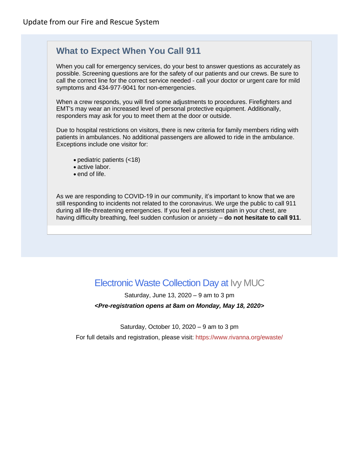### **What to Expect When You Call 911**

When you call for emergency services, do your best to answer questions as accurately as possible. Screening questions are for the safety of our patients and our crews. Be sure to call the correct line for the correct service needed - call your doctor or urgent care for mild symptoms and 434-977-9041 for non-emergencies.

When a crew responds, you will find some adjustments to procedures. Firefighters and EMT's may wear an increased level of personal protective equipment. Additionally, responders may ask for you to meet them at the door or outside.

Due to hospital restrictions on visitors, there is new criteria for family members riding with patients in ambulances. No additional passengers are allowed to ride in the ambulance. Exceptions include one visitor for:

- pediatric patients (<18)
- active labor.
- end of life.

As we are responding to COVID-19 in our community, it's important to know that we are still responding to incidents not related to the coronavirus. We urge the public to call 911 during all life-threatening emergencies. If you feel a persistent pain in your chest, are having difficulty breathing, feel sudden confusion or anxiety – **do not hesitate to call 911**.

### Electronic Waste Collection Day at Ivy [MUC](https://www.rivanna.org/ivy-material-utilization-center-muc/)

Saturday, June 13, 2020 – 9 am to 3 pm

#### *<Pre-registration opens at 8am on Monday, May 18, 2020>*

Saturday, October 10,  $2020 - 9$  am to 3 pm

For full details and registration, please visit: <https://www.rivanna.org/ewaste/>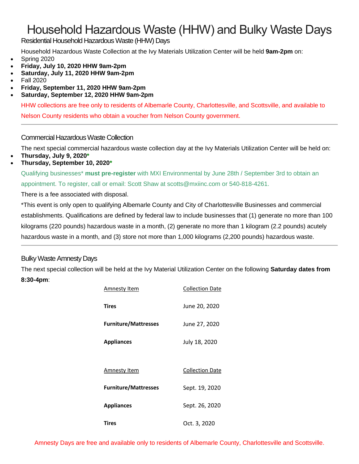## Household Hazardous Waste (HHW) and Bulky Waste Days

Residential Household Hazardous Waste (HHW) Days

Household Hazardous Waste Collection at the Ivy Materials Utilization Center will be held **9am-2pm** on:

- Spring 2020
- **Friday, July 10, 2020 HHW 9am-2pm**
- **Saturday, July 11, 2020 HHW 9am-2pm**
- Fall 2020
- **Friday, September 11, 2020 HHW 9am-2pm**
- **Saturday, September 12, 2020 HHW 9am-2pm**

HHW collections are free only to residents of Albemarle County, Charlottesville, and Scottsville, and available to

Nelson County residents who obtain a voucher from Nelson County government.

#### Commercial Hazardous Waste Collection

The next special commercial hazardous waste collection day at the Ivy Materials Utilization Center will be held on:

- **Thursday, July 9, 2020\***
- **Thursday, September 10, 2020\***

Qualifying businesses\* **must pre-register** with MXI Environmental by June 28th / September 3rd to obtain an appointment. To register, call or email: Scott Shaw at [scotts@mxiinc.com](mailto:scotts@mxiinc.com) or 540-818-4261.

There is a fee associated with disposal.

\*This event is only open to qualifying Albemarle County and City of Charlottesville Businesses and commercial establishments. Qualifications are defined by federal law to include businesses that (1) generate no more than 100 kilograms (220 pounds) hazardous waste in a month, (2) generate no more than 1 kilogram (2.2 pounds) acutely hazardous waste in a month, and (3) store not more than 1,000 kilograms (2,200 pounds) hazardous waste.

#### Bulky Waste Amnesty Days

The next special collection will be held at the Ivy Material Utilization Center on the following **Saturday dates from 8:30-4pm**:

| Amnesty Item                | <b>Collection Date</b> |
|-----------------------------|------------------------|
| <b>Tires</b>                | June 20, 2020          |
| <b>Furniture/Mattresses</b> | June 27, 2020          |
| <b>Appliances</b>           | July 18, 2020          |
|                             |                        |
| Amnesty Item                | <b>Collection Date</b> |
| <b>Furniture/Mattresses</b> | Sept. 19, 2020         |
| <b>Appliances</b>           | Sept. 26, 2020         |
| Tires                       | Oct. 3, 2020           |

Amnesty Days are free and available only to residents of Albemarle County, Charlottesville and Scottsville.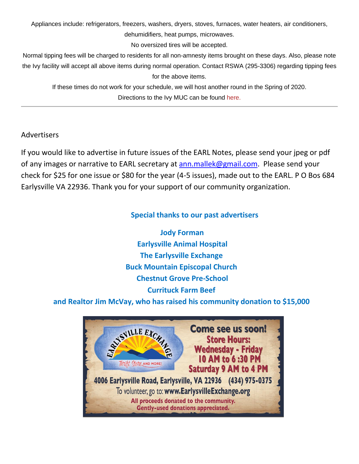Appliances include: refrigerators, freezers, washers, dryers, stoves, furnaces, water heaters, air conditioners,

dehumidifiers, heat pumps, microwaves.

No oversized tires will be accepted.

Normal tipping fees will be charged to residents for all non-amnesty items brought on these days. Also, please note the Ivy facility will accept all above items during normal operation. Contact RSWA (295-3306) regarding tipping fees for the above items.

If these times do not work for your schedule, we will host another round in the Spring of 2020. Directions to the Ivy MUC can be found [here.](https://www.rivanna.org/directions/)

#### Advertisers

If you would like to advertise in future issues of the EARL Notes, please send your jpeg or pdf of any images or narrative to EARL secretary at [ann.mallek@gmail.com.](mailto:ann.mallek@gmail.com) Please send your check for \$25 for one issue or \$80 for the year (4-5 issues), made out to the EARL. P O Bos 684 Earlysville VA 22936. Thank you for your support of our community organization.

#### **Special thanks to our past advertisers**

**Jody Forman Earlysville Animal Hospital The Earlysville Exchange Buck Mountain Episcopal Church Chestnut Grove Pre-School Currituck Farm Beef** 

**and Realtor Jim McVay, who has raised his community donation to \$15,000**

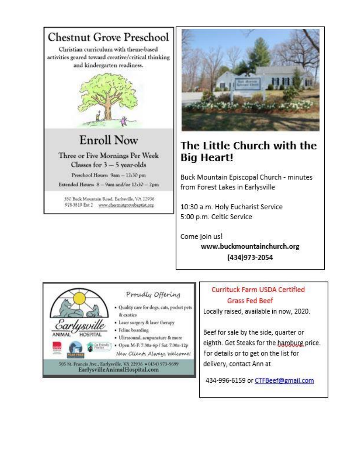

550 Buck Mountain Road, Earlysville, VA 22936 978-3819 Ext 2 www.chestnutgrovebaptist.org



### The Little Church with the **Big Heart!**

Buck Mountain Episcopal Church - minutes from Forest Lakes in Earlysville

10:30 a.m. Holy Eucharist Service 5:00 p.m. Celtic Service

Come join us!

www.buckmountainchurch.org (434)973-2054



#### Proudly Offering

- · Quality care for dogs, cats, pocket pets & exotics
- · Laser surgery & laser therapy
- · Feline boarding
- · Ultrasound, acupuncture & more
- Open M-F: 7:30a-6p / Sat: 7:30a-12p

New Clients Always Welcome!

505 St. Francis Ave., Earlysville, VA 22936 . (434) 973-9699. EarlysvilleAnimalHospital.com

### **Currituck Farm USDA Certified Grass Fed Beef**

Locally raised, available in now, 2020.

Beef for sale by the side, quarter or eighth. Get Steaks for the hamburg price. For details or to get on the list for delivery, contact Ann at

434-996-6159 or CTFBeef@gmail.com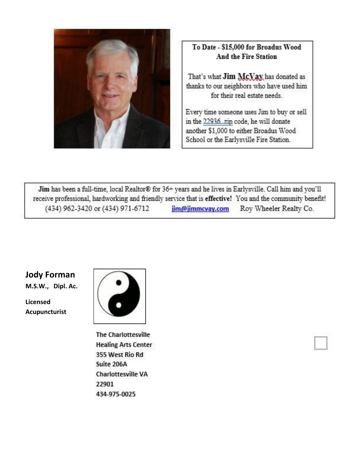

### To Date - \$15,000 for Broadus Wood **And the Fire Station**

That's what Jim McVay has donated as thanks to our neighbors who have used him for their real estate needs.

Every time someone uses Jim to buy or sell in the 22936 zip code, he will donate another \$1,000 to either Broadus Wood School or the Earlysville Fire Station.

Jim has been a full-time, local Realtor® for 36+ years and he lives in Earlysville. Call him and you'll receive professional, hardworking and friendly service that is effective! You and the community benefit! (434) 962-3420 or (434) 971-6712 jim@jimmcvay.com Roy Wheeler Realty Co.

### **Jody Forman**

**M.S.W., Dipl. Ac.** 

**Licensed Acupuncturist**



**The Charlottesville Healing Arts Center** 355 West Rio Rd Suite 206A **Charlottesville VA** 22901 434-975-0025